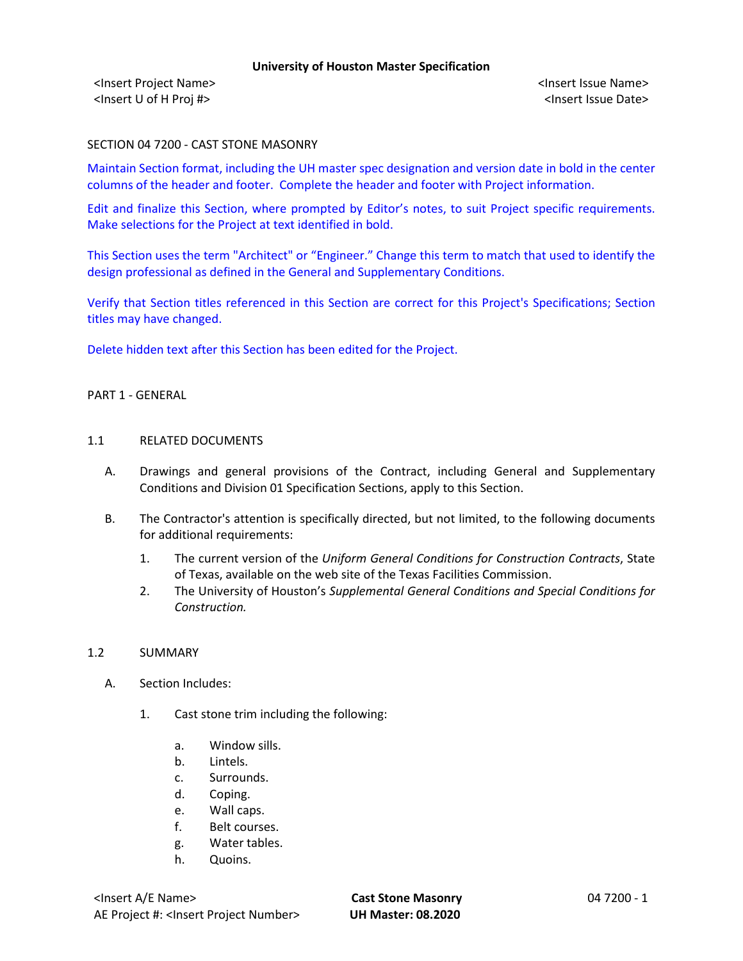<Insert Project Name> <Insert Issue Name> <Insert U of H Proj #> <Insert Issue Date>

### SECTION 04 7200 - CAST STONE MASONRY

Maintain Section format, including the UH master spec designation and version date in bold in the center columns of the header and footer. Complete the header and footer with Project information.

Edit and finalize this Section, where prompted by Editor's notes, to suit Project specific requirements. Make selections for the Project at text identified in bold.

This Section uses the term "Architect" or "Engineer." Change this term to match that used to identify the design professional as defined in the General and Supplementary Conditions.

Verify that Section titles referenced in this Section are correct for this Project's Specifications; Section titles may have changed.

Delete hidden text after this Section has been edited for the Project.

# PART 1 - GENERAL

# 1.1 RELATED DOCUMENTS

- A. Drawings and general provisions of the Contract, including General and Supplementary Conditions and Division 01 Specification Sections, apply to this Section.
- B. The Contractor's attention is specifically directed, but not limited, to the following documents for additional requirements:
	- 1. The current version of the *Uniform General Conditions for Construction Contracts*, State of Texas, available on the web site of the Texas Facilities Commission.
	- 2. The University of Houston's *Supplemental General Conditions and Special Conditions for Construction.*

#### 1.2 SUMMARY

- A. Section Includes:
	- 1. Cast stone trim including the following:
		- a. Window sills.
		- b. Lintels.
		- c. Surrounds.
		- d. Coping.
		- e. Wall caps.
		- f. Belt courses.
		- g. Water tables.
		- h. Quoins.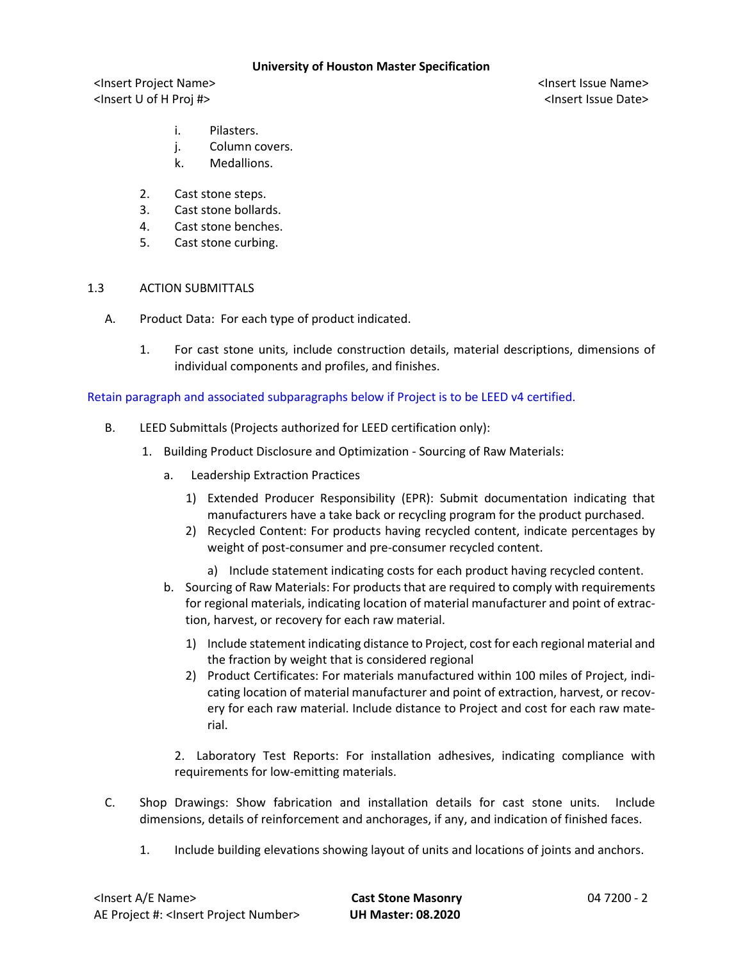<Insert Project Name> <Insert Issue Name> <Insert U of H Proj #> <Insert Issue Date>

- i. Pilasters.
- j. Column covers.
- k. Medallions.
- 2. Cast stone steps.
- 3. Cast stone bollards.
- 4. Cast stone benches.
- 5. Cast stone curbing.

#### 1.3 ACTION SUBMITTALS

- A. Product Data: For each type of product indicated.
	- 1. For cast stone units, include construction details, material descriptions, dimensions of individual components and profiles, and finishes.

## Retain paragraph and associated subparagraphs below if Project is to be LEED v4 certified.

- B. LEED Submittals (Projects authorized for LEED certification only):
	- 1. Building Product Disclosure and Optimization Sourcing of Raw Materials:
		- a. Leadership Extraction Practices
			- 1) Extended Producer Responsibility (EPR): Submit documentation indicating that manufacturers have a take back or recycling program for the product purchased.
			- 2) Recycled Content: For products having recycled content, indicate percentages by weight of post-consumer and pre-consumer recycled content.
				- a) Include statement indicating costs for each product having recycled content.
		- b. Sourcing of Raw Materials: For products that are required to comply with requirements for regional materials, indicating location of material manufacturer and point of extraction, harvest, or recovery for each raw material.
			- 1) Include statement indicating distance to Project, cost for each regional material and the fraction by weight that is considered regional
			- 2) Product Certificates: For materials manufactured within 100 miles of Project, indicating location of material manufacturer and point of extraction, harvest, or recovery for each raw material. Include distance to Project and cost for each raw material.

2. Laboratory Test Reports: For installation adhesives, indicating compliance with requirements for low-emitting materials.

- C. Shop Drawings: Show fabrication and installation details for cast stone units. Include dimensions, details of reinforcement and anchorages, if any, and indication of finished faces.
	- 1. Include building elevations showing layout of units and locations of joints and anchors.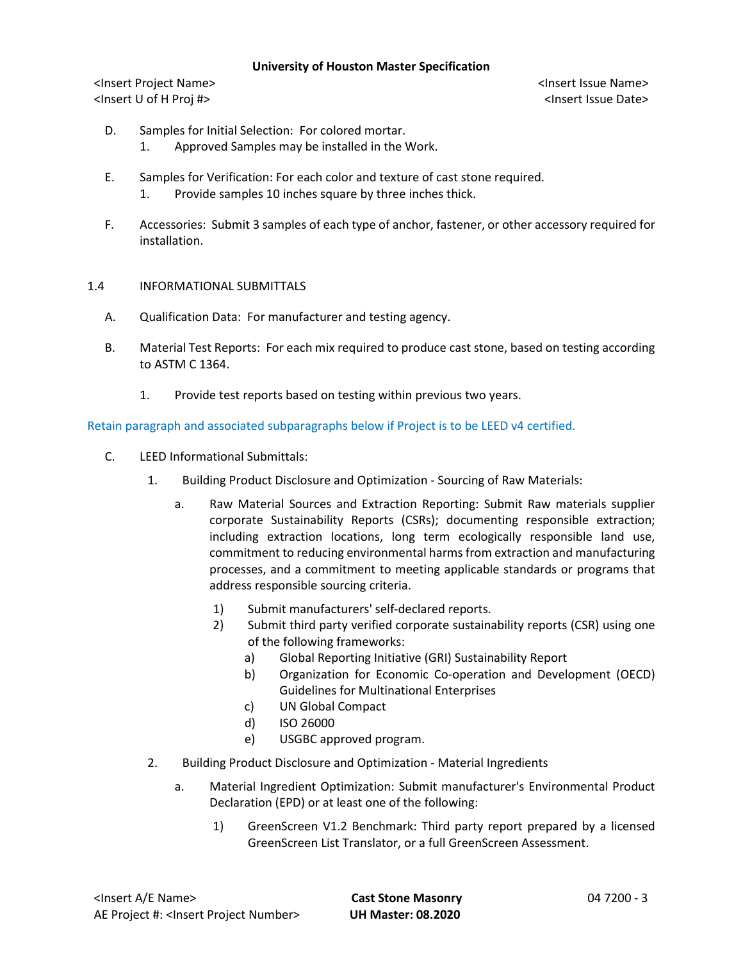<Insert Project Name> <Insert Issue Name> <Insert U of H Proj #> <Insert Issue Date>

- D. Samples for Initial Selection: For colored mortar. 1. Approved Samples may be installed in the Work.
- E. Samples for Verification: For each color and texture of cast stone required. 1. Provide samples 10 inches square by three inches thick.
- F. Accessories: Submit 3 samples of each type of anchor, fastener, or other accessory required for installation.

# 1.4 INFORMATIONAL SUBMITTALS

- A. Qualification Data: For manufacturer and testing agency.
- B. Material Test Reports: For each mix required to produce cast stone, based on testing according to ASTM C 1364.
	- 1. Provide test reports based on testing within previous two years.

Retain paragraph and associated subparagraphs below if Project is to be LEED v4 certified.

- C. LEED Informational Submittals:
	- 1. Building Product Disclosure and Optimization Sourcing of Raw Materials:
		- a. Raw Material Sources and Extraction Reporting: Submit Raw materials supplier corporate Sustainability Reports (CSRs); documenting responsible extraction; including extraction locations, long term ecologically responsible land use, commitment to reducing environmental harms from extraction and manufacturing processes, and a commitment to meeting applicable standards or programs that address responsible sourcing criteria.
			- 1) Submit manufacturers' self-declared reports.
			- 2) Submit third party verified corporate sustainability reports (CSR) using one of the following frameworks:
				- a) Global Reporting Initiative (GRI) Sustainability Report
				- b) Organization for Economic Co-operation and Development (OECD) Guidelines for Multinational Enterprises
				- c) UN Global Compact
				- d) ISO 26000
				- e) USGBC approved program.
	- 2. Building Product Disclosure and Optimization Material Ingredients
		- a. Material Ingredient Optimization: Submit manufacturer's Environmental Product Declaration (EPD) or at least one of the following:
			- 1) GreenScreen V1.2 Benchmark: Third party report prepared by a licensed GreenScreen List Translator, or a full GreenScreen Assessment.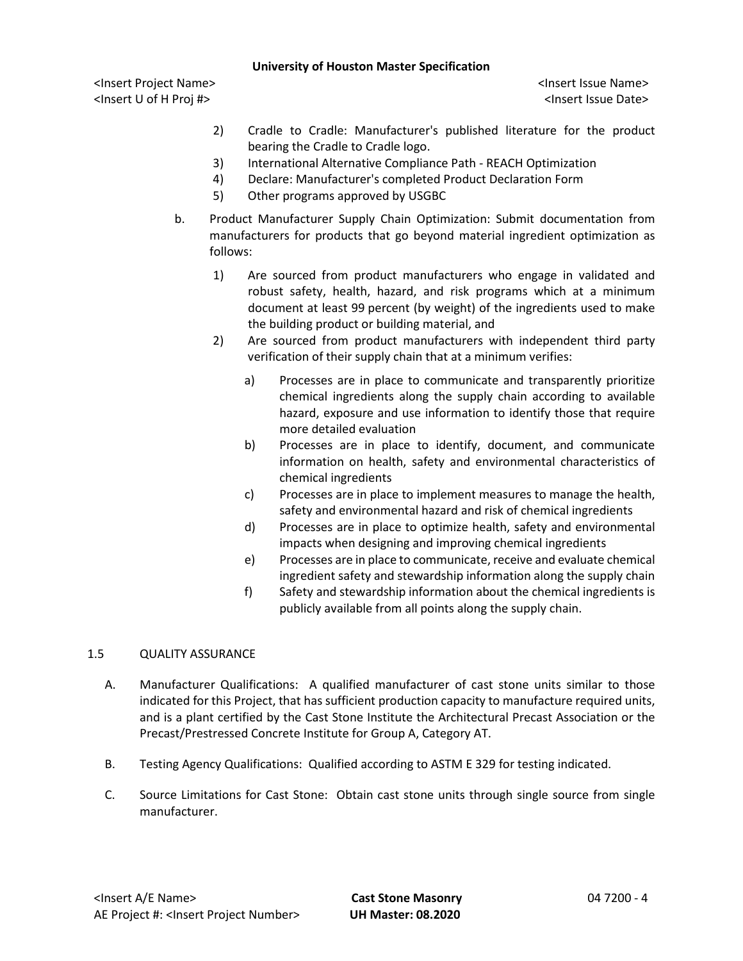<Insert Project Name> <Insert Issue Name> <Insert U of H Proj #> <Insert Issue Date>

- 2) Cradle to Cradle: Manufacturer's published literature for the product bearing the Cradle to Cradle logo.
- 3) International Alternative Compliance Path REACH Optimization
- 4) Declare: Manufacturer's completed Product Declaration Form
- 5) Other programs approved by USGBC
- b. Product Manufacturer Supply Chain Optimization: Submit documentation from manufacturers for products that go beyond material ingredient optimization as follows:
	- 1) Are sourced from product manufacturers who engage in validated and robust safety, health, hazard, and risk programs which at a minimum document at least 99 percent (by weight) of the ingredients used to make the building product or building material, and
	- 2) Are sourced from product manufacturers with independent third party verification of their supply chain that at a minimum verifies:
		- a) Processes are in place to communicate and transparently prioritize chemical ingredients along the supply chain according to available hazard, exposure and use information to identify those that require more detailed evaluation
		- b) Processes are in place to identify, document, and communicate information on health, safety and environmental characteristics of chemical ingredients
		- c) Processes are in place to implement measures to manage the health, safety and environmental hazard and risk of chemical ingredients
		- d) Processes are in place to optimize health, safety and environmental impacts when designing and improving chemical ingredients
		- e) Processes are in place to communicate, receive and evaluate chemical ingredient safety and stewardship information along the supply chain
		- f) Safety and stewardship information about the chemical ingredients is publicly available from all points along the supply chain.

# 1.5 QUALITY ASSURANCE

- A. Manufacturer Qualifications: A qualified manufacturer of cast stone units similar to those indicated for this Project, that has sufficient production capacity to manufacture required units, and is a plant certified by the Cast Stone Institute the Architectural Precast Association or the Precast/Prestressed Concrete Institute for Group A, Category AT.
- B. Testing Agency Qualifications: Qualified according to ASTM E 329 for testing indicated.
- C. Source Limitations for Cast Stone: Obtain cast stone units through single source from single manufacturer.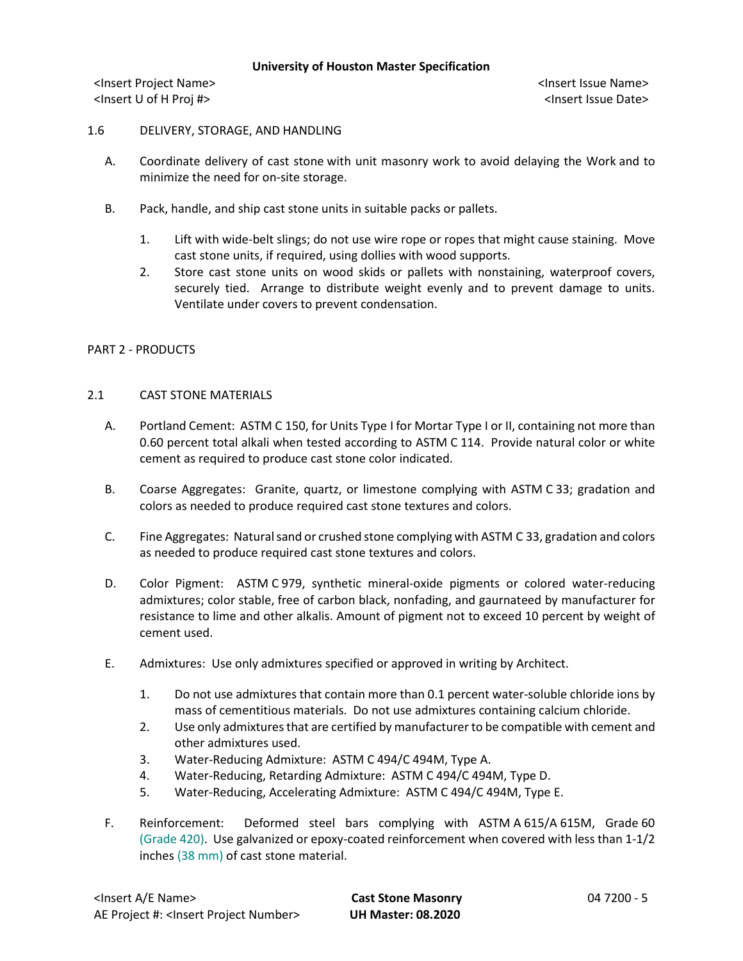<Insert Project Name> <Insert Issue Name> <Insert U of H Proj #> <Insert Issue Date>

## 1.6 DELIVERY, STORAGE, AND HANDLING

- A. Coordinate delivery of cast stone with unit masonry work to avoid delaying the Work and to minimize the need for on-site storage.
- B. Pack, handle, and ship cast stone units in suitable packs or pallets.
	- 1. Lift with wide-belt slings; do not use wire rope or ropes that might cause staining. Move cast stone units, if required, using dollies with wood supports.
	- 2. Store cast stone units on wood skids or pallets with nonstaining, waterproof covers, securely tied. Arrange to distribute weight evenly and to prevent damage to units. Ventilate under covers to prevent condensation.

## PART 2 - PRODUCTS

## 2.1 CAST STONE MATERIALS

- A. Portland Cement: ASTM C 150, for Units Type I for Mortar Type I or II, containing not more than 0.60 percent total alkali when tested according to ASTM C 114. Provide natural color or white cement as required to produce cast stone color indicated.
- B. Coarse Aggregates: Granite, quartz, or limestone complying with ASTM C 33; gradation and colors as needed to produce required cast stone textures and colors.
- C. Fine Aggregates: Natural sand or crushed stone complying with ASTM C 33, gradation and colors as needed to produce required cast stone textures and colors.
- D. Color Pigment: ASTM C 979, synthetic mineral-oxide pigments or colored water-reducing admixtures; color stable, free of carbon black, nonfading, and gaurnateed by manufacturer for resistance to lime and other alkalis. Amount of pigment not to exceed 10 percent by weight of cement used.
- E. Admixtures: Use only admixtures specified or approved in writing by Architect.
	- 1. Do not use admixtures that contain more than 0.1 percent water-soluble chloride ions by mass of cementitious materials. Do not use admixtures containing calcium chloride.
	- 2. Use only admixtures that are certified by manufacturer to be compatible with cement and other admixtures used.
	- 3. Water-Reducing Admixture: ASTM C 494/C 494M, Type A.
	- 4. Water-Reducing, Retarding Admixture: ASTM C 494/C 494M, Type D.
	- 5. Water-Reducing, Accelerating Admixture: ASTM C 494/C 494M, Type E.
- F. Reinforcement: Deformed steel bars complying with ASTM A 615/A 615M, Grade 60 (Grade 420). Use galvanized or epoxy-coated reinforcement when covered with less than 1-1/2 inches (38 mm) of cast stone material.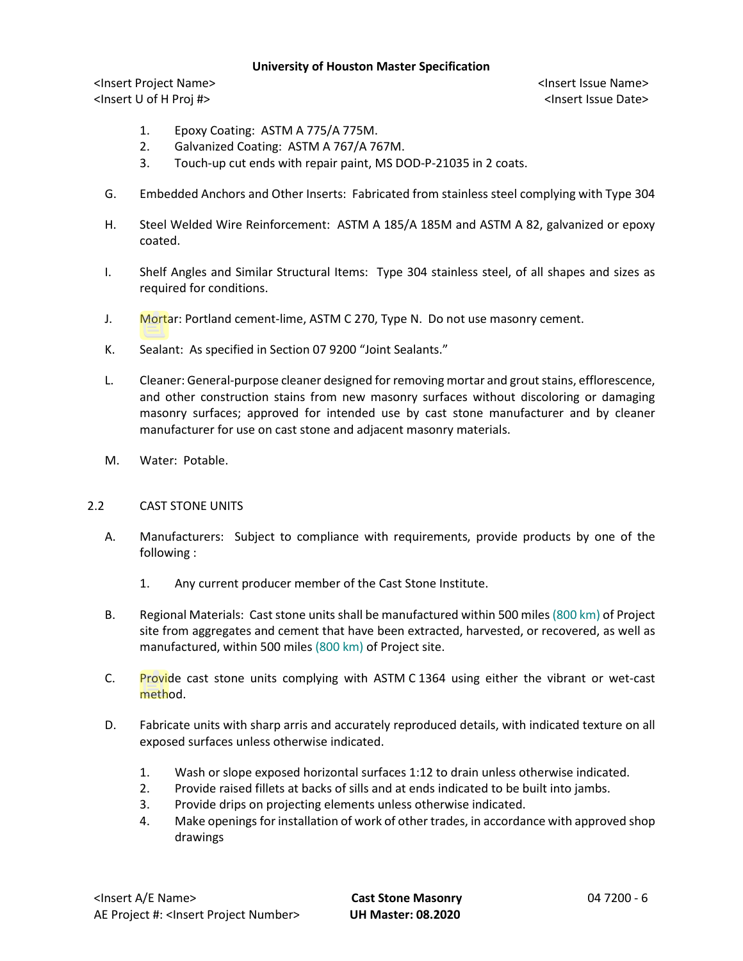<Insert Project Name> <Insert Issue Name> <Insert U of H Proj #> <Insert Issue Date>

- 1. Epoxy Coating: ASTM A 775/A 775M.
- 2. Galvanized Coating: ASTM A 767/A 767M.
- 3. Touch-up cut ends with repair paint, MS DOD-P-21035 in 2 coats.
- G. Embedded Anchors and Other Inserts: Fabricated from stainless steel complying with Type 304
- H. Steel Welded Wire Reinforcement: ASTM A 185/A 185M and ASTM A 82, galvanized or epoxy coated.
- I. Shelf Angles and Similar Structural Items: Type 304 stainless steel, of all shapes and sizes as required for conditions.
- J. Mortar: Portland cement-lime, ASTM C 270, Type N. Do not use masonry cement.
- K. Sealant: As specified in Section 07 9200 "Joint Sealants."
- L. Cleaner: General-purpose cleaner designed for removing mortar and grout stains, efflorescence, and other construction stains from new masonry surfaces without discoloring or damaging masonry surfaces; approved for intended use by cast stone manufacturer and by cleaner manufacturer for use on cast stone and adjacent masonry materials.
- M. Water: Potable.

#### 2.2 CAST STONE UNITS

- A. Manufacturers: Subject to compliance with requirements, provide products by one of the following :
	- 1. Any current producer member of the Cast Stone Institute.
- B. Regional Materials: Cast stone units shall be manufactured within 500 miles (800 km) of Project site from aggregates and cement that have been extracted, harvested, or recovered, as well as manufactured, within 500 miles (800 km) of Project site.
- C. Provide cast stone units complying with ASTM C 1364 using either the vibrant or wet-cast method.
- D. Fabricate units with sharp arris and accurately reproduced details, with indicated texture on all exposed surfaces unless otherwise indicated.
	- 1. Wash or slope exposed horizontal surfaces 1:12 to drain unless otherwise indicated.
	- 2. Provide raised fillets at backs of sills and at ends indicated to be built into jambs.
	- 3. Provide drips on projecting elements unless otherwise indicated.
	- 4. Make openings for installation of work of other trades, in accordance with approved shop drawings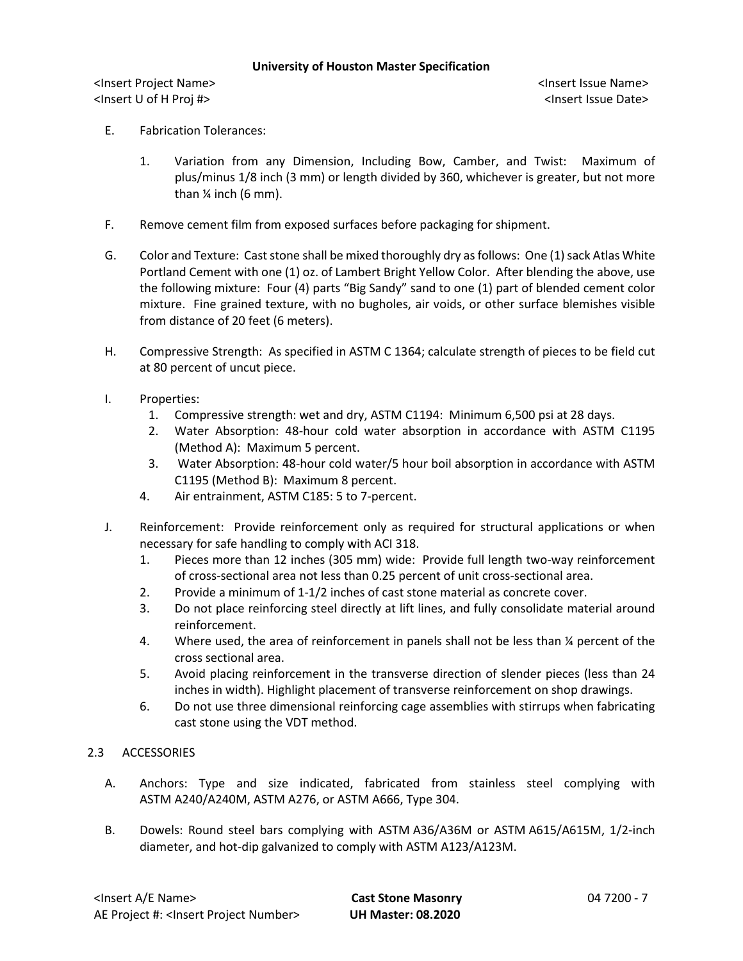<Insert Project Name> <Insert Issue Name> <Insert U of H Proj #> <Insert Issue Date>

- E. Fabrication Tolerances:
	- 1. Variation from any Dimension, Including Bow, Camber, and Twist: Maximum of plus/minus 1/8 inch (3 mm) or length divided by 360, whichever is greater, but not more than  $\frac{1}{4}$  inch (6 mm).
- F. Remove cement film from exposed surfaces before packaging for shipment.
- G. Color and Texture: Cast stone shall be mixed thoroughly dry as follows: One (1) sack Atlas White Portland Cement with one (1) oz. of Lambert Bright Yellow Color. After blending the above, use the following mixture: Four (4) parts "Big Sandy" sand to one (1) part of blended cement color mixture. Fine grained texture, with no bugholes, air voids, or other surface blemishes visible from distance of 20 feet (6 meters).
- H. Compressive Strength: As specified in ASTM C 1364; calculate strength of pieces to be field cut at 80 percent of uncut piece.
- I. Properties:
	- 1. Compressive strength: wet and dry, ASTM C1194: Minimum 6,500 psi at 28 days.
	- 2. Water Absorption: 48-hour cold water absorption in accordance with ASTM C1195 (Method A): Maximum 5 percent.
	- 3. Water Absorption: 48-hour cold water/5 hour boil absorption in accordance with ASTM C1195 (Method B): Maximum 8 percent.
	- 4. Air entrainment, ASTM C185: 5 to 7-percent.
- J. Reinforcement: Provide reinforcement only as required for structural applications or when necessary for safe handling to comply with ACI 318.
	- 1. Pieces more than 12 inches (305 mm) wide: Provide full length two-way reinforcement of cross-sectional area not less than 0.25 percent of unit cross-sectional area.
	- 2. Provide a minimum of 1-1/2 inches of cast stone material as concrete cover.
	- 3. Do not place reinforcing steel directly at lift lines, and fully consolidate material around reinforcement.
	- 4. Where used, the area of reinforcement in panels shall not be less than  $\frac{1}{4}$  percent of the cross sectional area.
	- 5. Avoid placing reinforcement in the transverse direction of slender pieces (less than 24 inches in width). Highlight placement of transverse reinforcement on shop drawings.
	- 6. Do not use three dimensional reinforcing cage assemblies with stirrups when fabricating cast stone using the VDT method.

# 2.3 ACCESSORIES

- A. Anchors: Type and size indicated, fabricated from stainless steel complying with ASTM A240/A240M, ASTM A276, or ASTM A666, Type 304.
- B. Dowels: Round steel bars complying with ASTM A36/A36M or ASTM A615/A615M, 1/2-inch diameter, and hot-dip galvanized to comply with ASTM A123/A123M.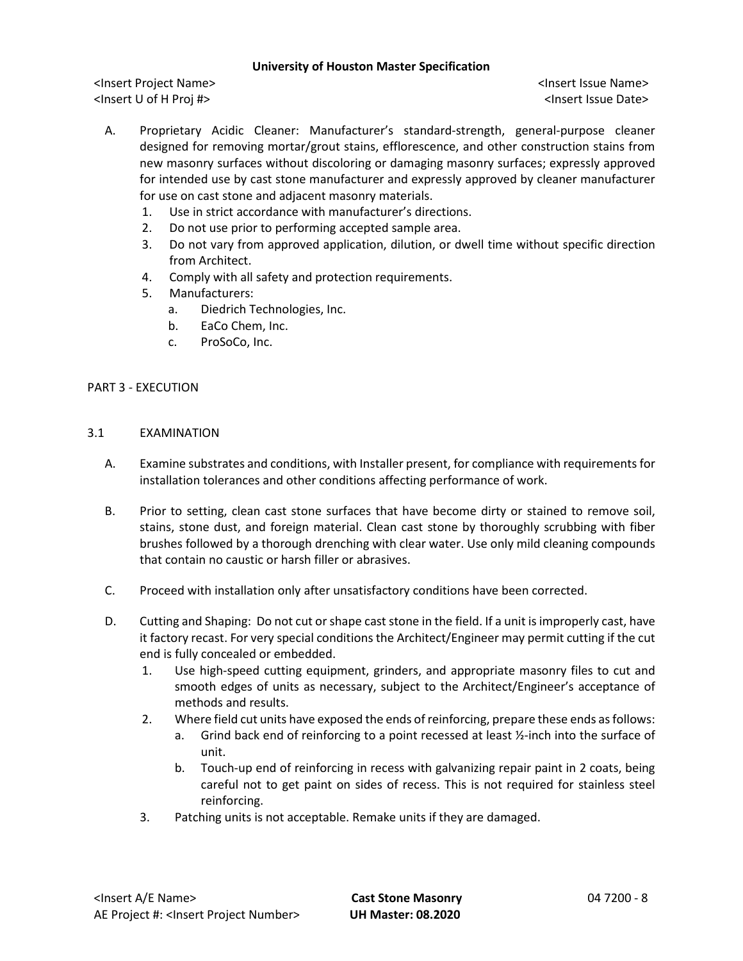<Insert Project Name> <Insert Issue Name> <Insert U of H Proj #> <Insert Issue Date>

- A. Proprietary Acidic Cleaner: Manufacturer's standard-strength, general-purpose cleaner designed for removing mortar/grout stains, efflorescence, and other construction stains from new masonry surfaces without discoloring or damaging masonry surfaces; expressly approved for intended use by cast stone manufacturer and expressly approved by cleaner manufacturer for use on cast stone and adjacent masonry materials.
	- 1. Use in strict accordance with manufacturer's directions.
	- 2. Do not use prior to performing accepted sample area.
	- 3. Do not vary from approved application, dilution, or dwell time without specific direction from Architect.
	- 4. Comply with all safety and protection requirements.
	- 5. Manufacturers:
		- a. Diedrich Technologies, Inc.
		- b. EaCo Chem, Inc.
		- c. ProSoCo, Inc.

## PART 3 - EXECUTION

## 3.1 EXAMINATION

- A. Examine substrates and conditions, with Installer present, for compliance with requirements for installation tolerances and other conditions affecting performance of work.
- B. Prior to setting, clean cast stone surfaces that have become dirty or stained to remove soil, stains, stone dust, and foreign material. Clean cast stone by thoroughly scrubbing with fiber brushes followed by a thorough drenching with clear water. Use only mild cleaning compounds that contain no caustic or harsh filler or abrasives.
- C. Proceed with installation only after unsatisfactory conditions have been corrected.
- D. Cutting and Shaping: Do not cut or shape cast stone in the field. If a unit is improperly cast, have it factory recast. For very special conditions the Architect/Engineer may permit cutting if the cut end is fully concealed or embedded.
	- 1. Use high-speed cutting equipment, grinders, and appropriate masonry files to cut and smooth edges of units as necessary, subject to the Architect/Engineer's acceptance of methods and results.
	- 2. Where field cut units have exposed the ends of reinforcing, prepare these ends as follows:
		- a. Grind back end of reinforcing to a point recessed at least  $\frac{1}{2}$ -inch into the surface of unit.
			- b. Touch-up end of reinforcing in recess with galvanizing repair paint in 2 coats, being careful not to get paint on sides of recess. This is not required for stainless steel reinforcing.
	- 3. Patching units is not acceptable. Remake units if they are damaged.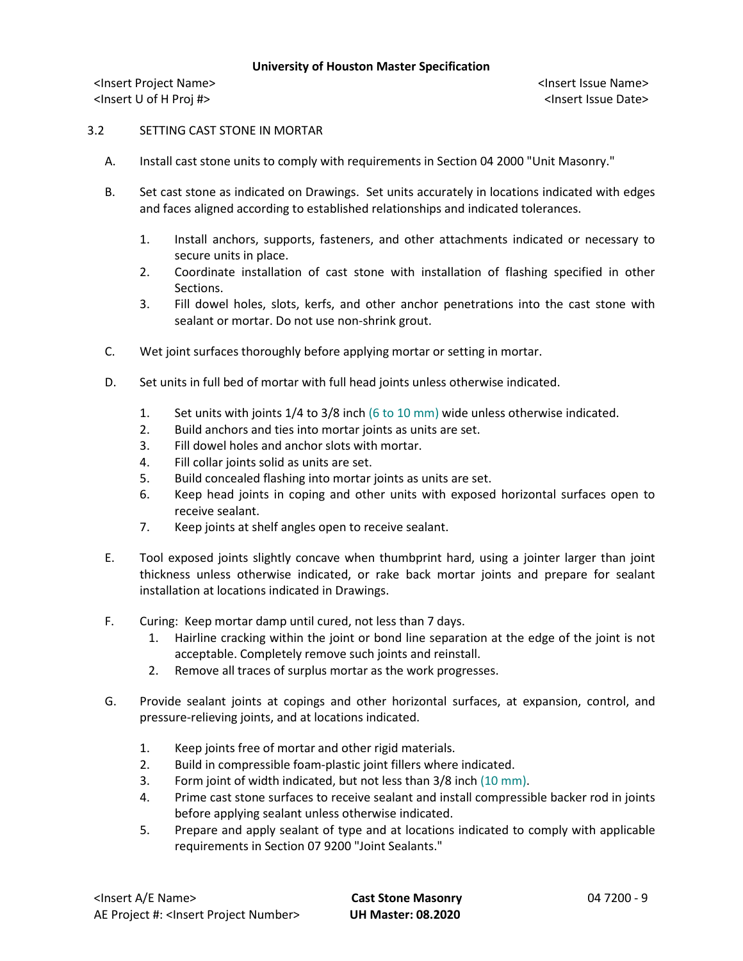<Insert Project Name> <Insert Issue Name> <Insert U of H Proj #> <Insert Issue Date>

## 3.2 SETTING CAST STONE IN MORTAR

- A. Install cast stone units to comply with requirements in Section 04 2000 "Unit Masonry."
- B. Set cast stone as indicated on Drawings. Set units accurately in locations indicated with edges and faces aligned according to established relationships and indicated tolerances.
	- 1. Install anchors, supports, fasteners, and other attachments indicated or necessary to secure units in place.
	- 2. Coordinate installation of cast stone with installation of flashing specified in other Sections.
	- 3. Fill dowel holes, slots, kerfs, and other anchor penetrations into the cast stone with sealant or mortar. Do not use non-shrink grout.
- C. Wet joint surfaces thoroughly before applying mortar or setting in mortar.
- D. Set units in full bed of mortar with full head joints unless otherwise indicated.
	- 1. Set units with joints 1/4 to 3/8 inch (6 to 10 mm) wide unless otherwise indicated.
	- 2. Build anchors and ties into mortar joints as units are set.
	- 3. Fill dowel holes and anchor slots with mortar.
	- 4. Fill collar joints solid as units are set.
	- 5. Build concealed flashing into mortar joints as units are set.
	- 6. Keep head joints in coping and other units with exposed horizontal surfaces open to receive sealant.
	- 7. Keep joints at shelf angles open to receive sealant.
- E. Tool exposed joints slightly concave when thumbprint hard, using a jointer larger than joint thickness unless otherwise indicated, or rake back mortar joints and prepare for sealant installation at locations indicated in Drawings.
- F. Curing: Keep mortar damp until cured, not less than 7 days.
	- 1. Hairline cracking within the joint or bond line separation at the edge of the joint is not acceptable. Completely remove such joints and reinstall.
	- 2. Remove all traces of surplus mortar as the work progresses.
- G. Provide sealant joints at copings and other horizontal surfaces, at expansion, control, and pressure-relieving joints, and at locations indicated.
	- 1. Keep joints free of mortar and other rigid materials.
	- 2. Build in compressible foam-plastic joint fillers where indicated.
	- 3. Form joint of width indicated, but not less than 3/8 inch (10 mm).
	- 4. Prime cast stone surfaces to receive sealant and install compressible backer rod in joints before applying sealant unless otherwise indicated.
	- 5. Prepare and apply sealant of type and at locations indicated to comply with applicable requirements in Section 07 9200 "Joint Sealants."